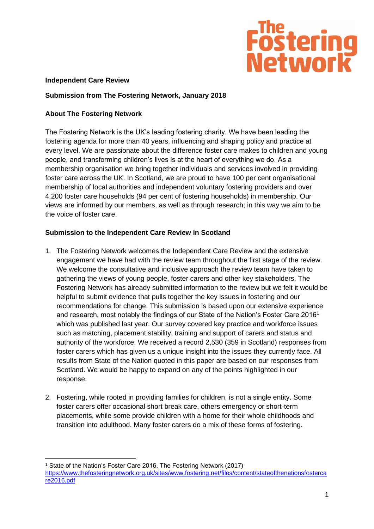

### **Independent Care Review**

## **Submission from The Fostering Network, January 2018**

## **About The Fostering Network**

The Fostering Network is the UK's leading fostering charity. We have been leading the fostering agenda for more than 40 years, influencing and shaping policy and practice at every level. We are passionate about the difference foster care makes to children and young people, and transforming children's lives is at the heart of everything we do. As a membership organisation we bring together individuals and services involved in providing foster care across the UK. In Scotland, we are proud to have 100 per cent organisational membership of local authorities and independent voluntary fostering providers and over 4,200 foster care households (94 per cent of fostering households) in membership. Our views are informed by our members, as well as through research; in this way we aim to be the voice of foster care.

## **Submission to the Independent Care Review in Scotland**

- 1. The Fostering Network welcomes the Independent Care Review and the extensive engagement we have had with the review team throughout the first stage of the review. We welcome the consultative and inclusive approach the review team have taken to gathering the views of young people, foster carers and other key stakeholders. The Fostering Network has already submitted information to the review but we felt it would be helpful to submit evidence that pulls together the key issues in fostering and our recommendations for change. This submission is based upon our extensive experience and research, most notably the findings of our State of the Nation's Foster Care 2016<sup>1</sup> which was published last year. Our survey covered key practice and workforce issues such as matching, placement stability, training and support of carers and status and authority of the workforce. We received a record 2,530 (359 in Scotland) responses from foster carers which has given us a unique insight into the issues they currently face. All results from State of the Nation quoted in this paper are based on our responses from Scotland. We would be happy to expand on any of the points highlighted in our response.
- 2. Fostering, while rooted in providing families for children, is not a single entity. Some foster carers offer occasional short break care, others emergency or short-term placements, while some provide children with a home for their whole childhoods and transition into adulthood. Many foster carers do a mix of these forms of fostering.

<sup>1</sup> State of the Nation's Foster Care 2016, The Fostering Network (2017) [https://www.thefosteringnetwork.org.uk/sites/www.fostering.net/files/content/stateofthenationsfosterca](https://www.thefosteringnetwork.org.uk/sites/www.fostering.net/files/content/stateofthenationsfostercare2016.pdf) [re2016.pdf](https://www.thefosteringnetwork.org.uk/sites/www.fostering.net/files/content/stateofthenationsfostercare2016.pdf)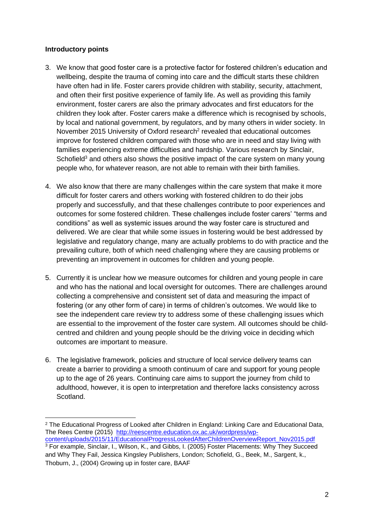### **Introductory points**

- 3. We know that good foster care is a protective factor for fostered children's education and wellbeing, despite the trauma of coming into care and the difficult starts these children have often had in life. Foster carers provide children with stability, security, attachment, and often their first positive experience of family life. As well as providing this family environment, foster carers are also the primary advocates and first educators for the children they look after. Foster carers make a difference which is recognised by schools, by local and national government, by regulators, and by many others in wider society. In November 2015 [University](http://reescentre.education.ox.ac.uk/wordpress/wp-content/uploads/2015/11/EducationalProgressLookedAfterChildrenOverviewReport_Nov2015.pdf) of Oxford research<sup>2</sup> revealed that educational outcomes improve for fostered children compared with those who are in need and stay living with families experiencing extreme difficulties and hardship. Various research by Sinclair, Schofield<sup>3</sup> and others also shows the positive impact of the care system on many young people who, for whatever reason, are not able to remain with their birth families.
- 4. We also know that there are many challenges within the care system that make it more difficult for foster carers and others working with fostered children to do their jobs properly and successfully, and that these challenges contribute to poor experiences and outcomes for some fostered children. These challenges include foster carers' "terms and conditions" as well as systemic issues around the way foster care is structured and delivered. We are clear that while some issues in fostering would be best addressed by legislative and regulatory change, many are actually problems to do with practice and the prevailing culture, both of which need challenging where they are causing problems or preventing an improvement in outcomes for children and young people.
- 5. Currently it is unclear how we measure outcomes for children and young people in care and who has the national and local oversight for outcomes. There are challenges around collecting a comprehensive and consistent set of data and measuring the impact of fostering (or any other form of care) in terms of children's outcomes. We would like to see the independent care review try to address some of these challenging issues which are essential to the improvement of the foster care system. All outcomes should be childcentred and children and young people should be the driving voice in deciding which outcomes are important to measure.
- 6. The legislative framework, policies and structure of local service delivery teams can create a barrier to providing a smooth continuum of care and support for young people up to the age of 26 years. Continuing care aims to support the journey from child to adulthood, however, it is open to interpretation and therefore lacks consistency across Scotland.

<sup>&</sup>lt;sup>2</sup> The Educational Progress of Looked after Children in England: Linking Care and Educational Data, The Rees Centre (2015) [http://reescentre.education.ox.ac.uk/wordpress/wp](http://reescentre.education.ox.ac.uk/wordpress/wp-content/uploads/2015/11/EducationalProgressLookedAfterChildrenOverviewReport_Nov2015.pdf)[content/uploads/2015/11/EducationalProgressLookedAfterChildrenOverviewReport\\_Nov2015.pdf](http://reescentre.education.ox.ac.uk/wordpress/wp-content/uploads/2015/11/EducationalProgressLookedAfterChildrenOverviewReport_Nov2015.pdf)

<sup>3</sup> For example, Sinclair, I., Wilson, K., and Gibbs, I. (2005) Foster Placements: Why They Succeed and Why They Fail, Jessica Kingsley Publishers, London; Schofield, G., Beek, M., Sargent, k., Thoburn, J., (2004) Growing up in foster care, BAAF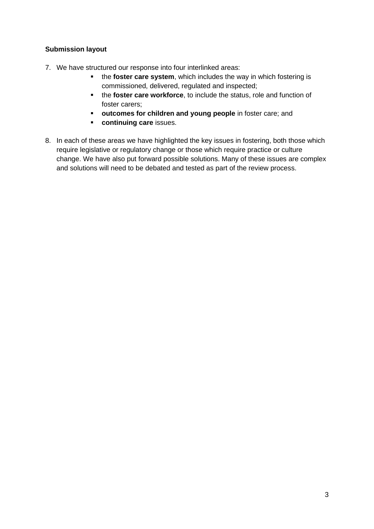## **Submission layout**

- 7. We have structured our response into four interlinked areas:
	- the **foster care system**, which includes the way in which fostering is commissioned, delivered, regulated and inspected;
	- the **foster care workforce**, to include the status, role and function of foster carers;
	- **outcomes for children and young people** in foster care; and
	- **continuing care** issues.
- 8. In each of these areas we have highlighted the key issues in fostering, both those which require legislative or regulatory change or those which require practice or culture change. We have also put forward possible solutions. Many of these issues are complex and solutions will need to be debated and tested as part of the review process.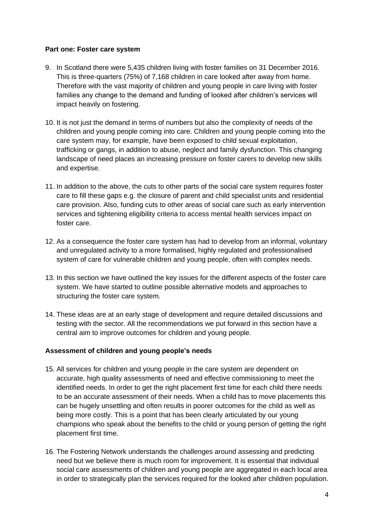### **Part one: Foster care system**

- 9. In Scotland there were 5,435 children living with foster families on 31 December 2016. This is three-quarters (75%) of 7,168 children in care looked after away from home. Therefore with the vast majority of children and young people in care living with foster families any change to the demand and funding of looked after children's services will impact heavily on fostering.
- 10. It is not just the demand in terms of numbers but also the complexity of needs of the children and young people coming into care. Children and young people coming into the care system may, for example, have been exposed to child sexual exploitation, trafficking or gangs, in addition to abuse, neglect and family dysfunction. This changing landscape of need places an increasing pressure on foster carers to develop new skills and expertise.
- 11. In addition to the above, the cuts to other parts of the social care system requires foster care to fill these gaps e.g. the closure of parent and child specialist units and residential care provision. Also, funding cuts to other areas of social care such as early intervention services and tightening eligibility criteria to access mental health services impact on foster care.
- 12. As a consequence the foster care system has had to develop from an informal, voluntary and unregulated activity to a more formalised, highly regulated and professionalised system of care for vulnerable children and young people, often with complex needs.
- 13. In this section we have outlined the key issues for the different aspects of the foster care system. We have started to outline possible alternative models and approaches to structuring the foster care system.
- 14. These ideas are at an early stage of development and require detailed discussions and testing with the sector. All the recommendations we put forward in this section have a central aim to improve outcomes for children and young people.

## **Assessment of children and young people's needs**

- 15. All services for children and young people in the care system are dependent on accurate, high quality assessments of need and effective commissioning to meet the identified needs. In order to get the right placement first time for each child there needs to be an accurate assessment of their needs. When a child has to move placements this can be hugely unsettling and often results in poorer outcomes for the child as well as being more costly. This is a point that has been clearly articulated by our young champions who speak about the benefits to the child or young person of getting the right placement first time.
- 16. The Fostering Network understands the challenges around assessing and predicting need but we believe there is much room for improvement. It is essential that individual social care assessments of children and young people are aggregated in each local area in order to strategically plan the services required for the looked after children population.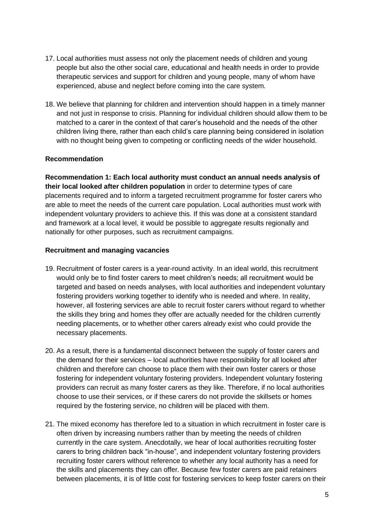- 17. Local authorities must assess not only the placement needs of children and young people but also the other social care, educational and health needs in order to provide therapeutic services and support for children and young people, many of whom have experienced, abuse and neglect before coming into the care system.
- 18. We believe that planning for children and intervention should happen in a timely manner and not just in response to crisis. Planning for individual children should allow them to be matched to a carer in the context of that carer's household and the needs of the other children living there, rather than each child's care planning being considered in isolation with no thought being given to competing or conflicting needs of the wider household.

## **Recommendation**

**Recommendation 1: Each local authority must conduct an annual needs analysis of their local looked after children population** in order to determine types of care placements required and to inform a targeted recruitment programme for foster carers who are able to meet the needs of the current care population. Local authorities must work with independent voluntary providers to achieve this. If this was done at a consistent standard and framework at a local level, it would be possible to aggregate results regionally and nationally for other purposes, such as recruitment campaigns.

#### **Recruitment and managing vacancies**

- 19. Recruitment of foster carers is a year-round activity. In an ideal world, this recruitment would only be to find foster carers to meet children's needs; all recruitment would be targeted and based on needs analyses, with local authorities and independent voluntary fostering providers working together to identify who is needed and where. In reality, however, all fostering services are able to recruit foster carers without regard to whether the skills they bring and homes they offer are actually needed for the children currently needing placements, or to whether other carers already exist who could provide the necessary placements.
- 20. As a result, there is a fundamental disconnect between the supply of foster carers and the demand for their services – local authorities have responsibility for all looked after children and therefore can choose to place them with their own foster carers or those fostering for independent voluntary fostering providers. Independent voluntary fostering providers can recruit as many foster carers as they like. Therefore, if no local authorities choose to use their services, or if these carers do not provide the skillsets or homes required by the fostering service, no children will be placed with them.
- 21. The mixed economy has therefore led to a situation in which recruitment in foster care is often driven by increasing numbers rather than by meeting the needs of children currently in the care system. Anecdotally, we hear of local authorities recruiting foster carers to bring children back "in-house", and independent voluntary fostering providers recruiting foster carers without reference to whether any local authority has a need for the skills and placements they can offer. Because few foster carers are paid retainers between placements, it is of little cost for fostering services to keep foster carers on their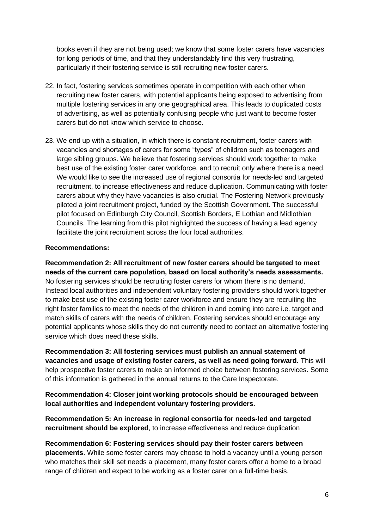books even if they are not being used; we know that some foster carers have vacancies for long periods of time, and that they understandably find this very frustrating, particularly if their fostering service is still recruiting new foster carers.

- 22. In fact, fostering services sometimes operate in competition with each other when recruiting new foster carers, with potential applicants being exposed to advertising from multiple fostering services in any one geographical area. This leads to duplicated costs of advertising, as well as potentially confusing people who just want to become foster carers but do not know which service to choose.
- 23. We end up with a situation, in which there is constant recruitment, foster carers with vacancies and shortages of carers for some "types" of children such as teenagers and large sibling groups. We believe that fostering services should work together to make best use of the existing foster carer workforce, and to recruit only where there is a need. We would like to see the increased use of regional consortia for needs-led and targeted recruitment, to increase effectiveness and reduce duplication. Communicating with foster carers about why they have vacancies is also crucial. The Fostering Network previously piloted a joint recruitment project, funded by the Scottish Government. The successful pilot focused on Edinburgh City Council, Scottish Borders, E Lothian and Midlothian Councils. The learning from this pilot highlighted the success of having a lead agency facilitate the joint recruitment across the four local authorities.

## **Recommendations:**

**Recommendation 2: All recruitment of new foster carers should be targeted to meet needs of the current care population, based on local authority's needs assessments.**  No fostering services should be recruiting foster carers for whom there is no demand. Instead local authorities and independent voluntary fostering providers should work together to make best use of the existing foster carer workforce and ensure they are recruiting the right foster families to meet the needs of the children in and coming into care i.e. target and match skills of carers with the needs of children. Fostering services should encourage any potential applicants whose skills they do not currently need to contact an alternative fostering service which does need these skills.

**Recommendation 3: All fostering services must publish an annual statement of vacancies and usage of existing foster carers, as well as need going forward.** This will help prospective foster carers to make an informed choice between fostering services. Some of this information is gathered in the annual returns to the Care Inspectorate.

## **Recommendation 4: Closer joint working protocols should be encouraged between local authorities and independent voluntary fostering providers.**

**Recommendation 5: An increase in regional consortia for needs-led and targeted recruitment should be explored**, to increase effectiveness and reduce duplication

#### **Recommendation 6: Fostering services should pay their foster carers between**

**placements**. While some foster carers may choose to hold a vacancy until a young person who matches their skill set needs a placement, many foster carers offer a home to a broad range of children and expect to be working as a foster carer on a full-time basis.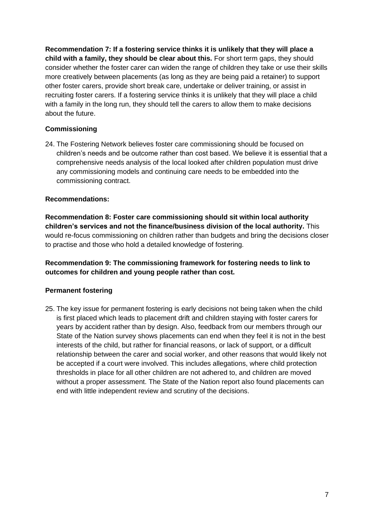**Recommendation 7: If a fostering service thinks it is unlikely that they will place a child with a family, they should be clear about this.** For short term gaps, they should consider whether the foster carer can widen the range of children they take or use their skills more creatively between placements (as long as they are being paid a retainer) to support other foster carers, provide short break care, undertake or deliver training, or assist in recruiting foster carers. If a fostering service thinks it is unlikely that they will place a child with a family in the long run, they should tell the carers to allow them to make decisions about the future.

# **Commissioning**

24. The Fostering Network believes foster care commissioning should be focused on children's needs and be outcome rather than cost based. We believe it is essential that a comprehensive needs analysis of the local looked after children population must drive any commissioning models and continuing care needs to be embedded into the commissioning contract.

## **Recommendations:**

**Recommendation 8: Foster care commissioning should sit within local authority children's services and not the finance/business division of the local authority.** This would re-focus commissioning on children rather than budgets and bring the decisions closer to practise and those who hold a detailed knowledge of fostering.

**Recommendation 9: The commissioning framework for fostering needs to link to outcomes for children and young people rather than cost.**

## **Permanent fostering**

25. The key issue for permanent fostering is early decisions not being taken when the child is first placed which leads to placement drift and children staying with foster carers for years by accident rather than by design. Also, feedback from our members through our State of the Nation survey shows placements can end when they feel it is not in the best interests of the child, but rather for financial reasons, or lack of support, or a difficult relationship between the carer and social worker, and other reasons that would likely not be accepted if a court were involved. This includes allegations, where child protection thresholds in place for all other children are not adhered to, and children are moved without a proper assessment. The State of the Nation report also found placements can end with little independent review and scrutiny of the decisions.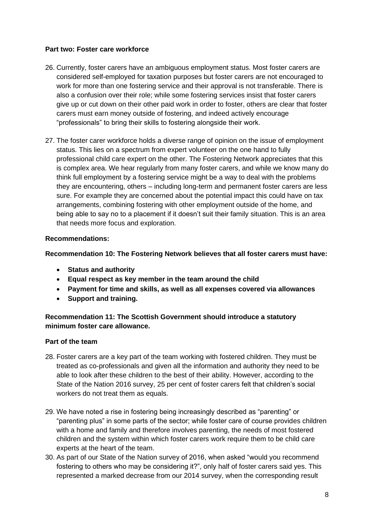## **Part two: Foster care workforce**

- 26. Currently, foster carers have an ambiguous employment status. Most foster carers are considered self-employed for taxation purposes but foster carers are not encouraged to work for more than one fostering service and their approval is not transferable. There is also a confusion over their role; while some fostering services insist that foster carers give up or cut down on their other paid work in order to foster, others are clear that foster carers must earn money outside of fostering, and indeed actively encourage "professionals" to bring their skills to fostering alongside their work.
- 27. The foster carer workforce holds a diverse range of opinion on the issue of employment status. This lies on a spectrum from expert volunteer on the one hand to fully professional child care expert on the other. The Fostering Network appreciates that this is complex area. We hear regularly from many foster carers, and while we know many do think full employment by a fostering service might be a way to deal with the problems they are encountering, others – including long-term and permanent foster carers are less sure. For example they are concerned about the potential impact this could have on tax arrangements, combining fostering with other employment outside of the home, and being able to say no to a placement if it doesn't suit their family situation. This is an area that needs more focus and exploration.

## **Recommendations:**

**Recommendation 10: The Fostering Network believes that all foster carers must have:** 

- **Status and authority**
- **Equal respect as key member in the team around the child**
- **Payment for time and skills, as well as all expenses covered via allowances**
- **Support and training.**

## **Recommendation 11: The Scottish Government should introduce a statutory minimum foster care allowance.**

#### **Part of the team**

- 28. Foster carers are a key part of the team working with fostered children. They must be treated as co-professionals and given all the information and authority they need to be able to look after these children to the best of their ability. However, according to the State of the Nation 2016 survey, 25 per cent of foster carers felt that children's social workers do not treat them as equals.
- 29. We have noted a rise in fostering being increasingly described as "parenting" or "parenting plus" in some parts of the sector; while foster care of course provides children with a home and family and therefore involves parenting, the needs of most fostered children and the system within which foster carers work require them to be child care experts at the heart of the team.
- 30. As part of our State of the Nation survey of 2016, when asked "would you recommend fostering to others who may be considering it?", only half of foster carers said yes. This represented a marked decrease from our 2014 survey, when the corresponding result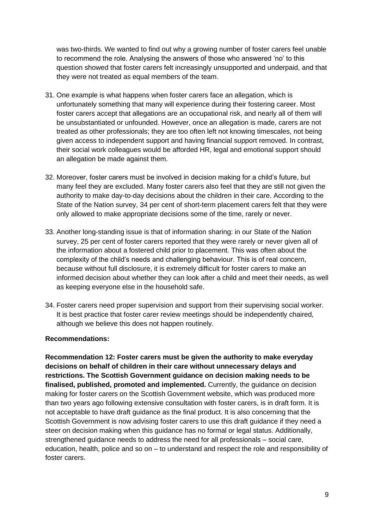was two-thirds. We wanted to find out why a growing number of foster carers feel unable to recommend the role. Analysing the answers of those who answered 'no' to this question showed that foster carers felt increasingly unsupported and underpaid, and that they were not treated as equal members of the team.

- 31. One example is what happens when foster carers face an allegation, which is unfortunately something that many will experience during their fostering career. Most foster carers accept that allegations are an occupational risk, and nearly all of them will be unsubstantiated or unfounded. However, once an allegation is made, carers are not treated as other professionals; they are too often left not knowing timescales, not being given access to independent support and having financial support removed. In contrast, their social work colleagues would be afforded HR, legal and emotional support should an allegation be made against them.
- 32. Moreover, foster carers must be involved in decision making for a child's future, but many feel they are excluded. Many foster carers also feel that they are still not given the authority to make day-to-day decisions about the children in their care. According to the State of the Nation survey, 34 per cent of short-term placement carers felt that they were only allowed to make appropriate decisions some of the time, rarely or never.
- 33. Another long-standing issue is that of information sharing: in our State of the Nation survey, 25 per cent of foster carers reported that they were rarely or never given all of the information about a fostered child prior to placement. This was often about the complexity of the child's needs and challenging behaviour. This is of real concern, because without full disclosure, it is extremely difficult for foster carers to make an informed decision about whether they can look after a child and meet their needs, as well as keeping everyone else in the household safe.
- 34. Foster carers need proper supervision and support from their supervising social worker. It is best practice that foster carer review meetings should be independently chaired, although we believe this does not happen routinely.

#### **Recommendations:**

**Recommendation 12: Foster carers must be given the authority to make everyday decisions on behalf of children in their care without unnecessary delays and restrictions. The Scottish Government guidance on decision making needs to be finalised, published, promoted and implemented.** Currently, the guidance on decision making for foster carers on the Scottish Government website, which was produced more than two years ago following extensive consultation with foster carers, is in draft form. It is not acceptable to have draft guidance as the final product. It is also concerning that the Scottish Government is now advising foster carers to use this draft guidance if they need a steer on decision making when this guidance has no formal or legal status. Additionally, strengthened guidance needs to address the need for all professionals – social care, education, health, police and so on – to understand and respect the role and responsibility of foster carers.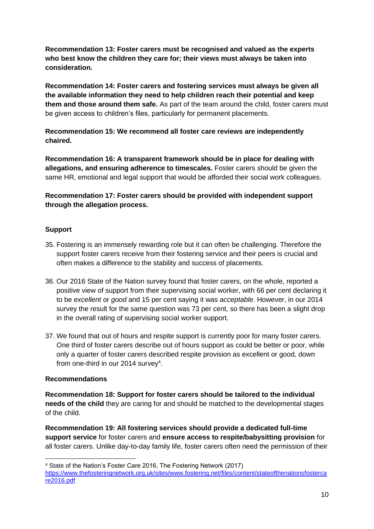**Recommendation 13: Foster carers must be recognised and valued as the experts who best know the children they care for; their views must always be taken into consideration.**

**Recommendation 14: Foster carers and fostering services must always be given all the available information they need to help children reach their potential and keep them and those around them safe.** As part of the team around the child, foster carers must be given access to children's files, particularly for permanent placements.

**Recommendation 15: We recommend all foster care reviews are independently chaired.**

**Recommendation 16: A transparent framework should be in place for dealing with allegations, and ensuring adherence to timescales.** Foster carers should be given the same HR, emotional and legal support that would be afforded their social work colleagues.

**Recommendation 17: Foster carers should be provided with independent support through the allegation process.**

## **Support**

- 35. Fostering is an immensely rewarding role but it can often be challenging. Therefore the support foster carers receive from their fostering service and their peers is crucial and often makes a difference to the stability and success of placements.
- 36. Our 2016 State of the Nation survey found that foster carers, on the whole, reported a positive view of support from their supervising social worker, with 66 per cent declaring it to be *excellent* or *good* and 15 per cent saying it was *acceptable*. However, in our 2014 survey the result for the same question was 73 per cent, so there has been a slight drop in the overall rating of supervising social worker support.
- 37. We found that out of hours and respite support is currently poor for many foster carers. One third of foster carers describe out of hours support as could be better or poor, while only a quarter of foster carers described respite provision as excellent or good, down from one-third in our 2014 survey<sup>4</sup>.

#### **Recommendations**

**Recommendation 18: Support for foster carers should be tailored to the individual needs of the child** they are caring for and should be matched to the developmental stages of the child.

**Recommendation 19: All fostering services should provide a dedicated full-time support service** for foster carers and **ensure access to respite/babysitting provision** for all foster carers. Unlike day-to-day family life, foster carers often need the permission of their

<sup>4</sup> State of the Nation's Foster Care 2016, The Fostering Network (2017)

[https://www.thefosteringnetwork.org.uk/sites/www.fostering.net/files/content/stateofthenationsfosterca](https://www.thefosteringnetwork.org.uk/sites/www.fostering.net/files/content/stateofthenationsfostercare2016.pdf) [re2016.pdf](https://www.thefosteringnetwork.org.uk/sites/www.fostering.net/files/content/stateofthenationsfostercare2016.pdf)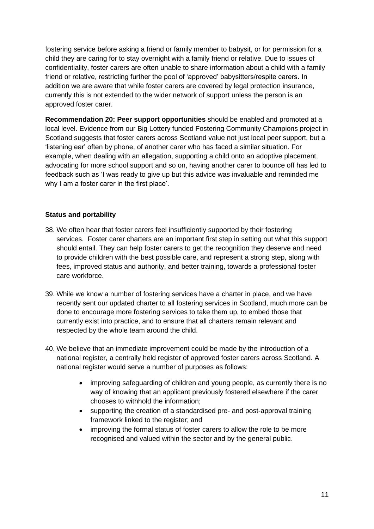fostering service before asking a friend or family member to babysit, or for permission for a child they are caring for to stay overnight with a family friend or relative. Due to issues of confidentiality, foster carers are often unable to share information about a child with a family friend or relative, restricting further the pool of 'approved' babysitters/respite carers. In addition we are aware that while foster carers are covered by legal protection insurance, currently this is not extended to the wider network of support unless the person is an approved foster carer.

**Recommendation 20: Peer support opportunities** should be enabled and promoted at a local level. Evidence from our Big Lottery funded Fostering Community Champions project in Scotland suggests that foster carers across Scotland value not just local peer support, but a 'listening ear' often by phone, of another carer who has faced a similar situation. For example, when dealing with an allegation, supporting a child onto an adoptive placement, advocating for more school support and so on, having another carer to bounce off has led to feedback such as 'I was ready to give up but this advice was invaluable and reminded me why I am a foster carer in the first place'.

## **Status and portability**

- 38. We often hear that foster carers feel insufficiently supported by their fostering services. Foster carer charters are an important first step in setting out what this support should entail. They can help foster carers to get the recognition they deserve and need to provide children with the best possible care, and represent a strong step, along with fees, improved status and authority, and better training, towards a professional foster care workforce.
- 39. While we know a number of fostering services have a charter in place, and we have recently sent our updated charter to all fostering services in Scotland, much more can be done to encourage more fostering services to take them up, to embed those that currently exist into practice, and to ensure that all charters remain relevant and respected by the whole team around the child.
- 40. We believe that an immediate improvement could be made by the introduction of a national register, a centrally held register of approved foster carers across Scotland. A national register would serve a number of purposes as follows:
	- improving safeguarding of children and young people, as currently there is no way of knowing that an applicant previously fostered elsewhere if the carer chooses to withhold the information;
	- supporting the creation of a standardised pre- and post-approval training framework linked to the register; and
	- improving the formal status of foster carers to allow the role to be more recognised and valued within the sector and by the general public.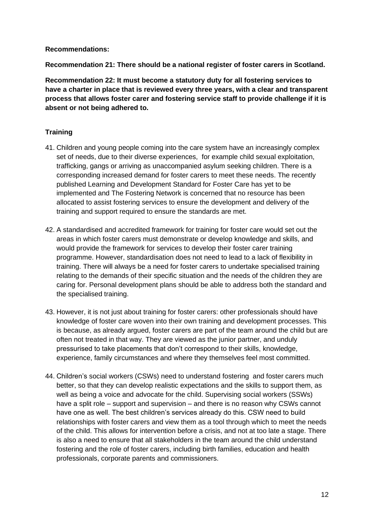#### **Recommendations:**

**Recommendation 21: There should be a national register of foster carers in Scotland.**

**Recommendation 22: It must become a statutory duty for all fostering services to have a charter in place that is reviewed every three years, with a clear and transparent process that allows foster carer and fostering service staff to provide challenge if it is absent or not being adhered to.**

## **Training**

- 41. Children and young people coming into the care system have an increasingly complex set of needs, due to their diverse experiences, for example child sexual exploitation, trafficking, gangs or arriving as unaccompanied asylum seeking children. There is a corresponding increased demand for foster carers to meet these needs. The recently published Learning and Development Standard for Foster Care has yet to be implemented and The Fostering Network is concerned that no resource has been allocated to assist fostering services to ensure the development and delivery of the training and support required to ensure the standards are met.
- 42. A standardised and accredited framework for training for foster care would set out the areas in which foster carers must demonstrate or develop knowledge and skills, and would provide the framework for services to develop their foster carer training programme. However, standardisation does not need to lead to a lack of flexibility in training. There will always be a need for foster carers to undertake specialised training relating to the demands of their specific situation and the needs of the children they are caring for. Personal development plans should be able to address both the standard and the specialised training.
- 43. However, it is not just about training for foster carers: other professionals should have knowledge of foster care woven into their own training and development processes. This is because, as already argued, foster carers are part of the team around the child but are often not treated in that way. They are viewed as the junior partner, and unduly pressurised to take placements that don't correspond to their skills, knowledge, experience, family circumstances and where they themselves feel most committed.
- 44. Children's social workers (CSWs) need to understand fostering and foster carers much better, so that they can develop realistic expectations and the skills to support them, as well as being a voice and advocate for the child. Supervising social workers (SSWs) have a split role – support and supervision – and there is no reason why CSWs cannot have one as well. The best children's services already do this. CSW need to build relationships with foster carers and view them as a tool through which to meet the needs of the child. This allows for intervention before a crisis, and not at too late a stage. There is also a need to ensure that all stakeholders in the team around the child understand fostering and the role of foster carers, including birth families, education and health professionals, corporate parents and commissioners.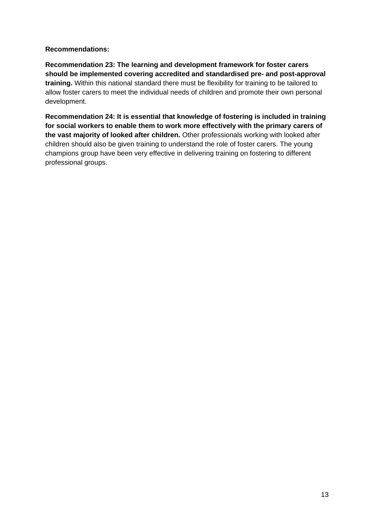## **Recommendations:**

**Recommendation 23: The learning and development framework for foster carers should be implemented covering accredited and standardised pre- and post-approval training.** Within this national standard there must be flexibility for training to be tailored to allow foster carers to meet the individual needs of children and promote their own personal development.

**Recommendation 24: It is essential that knowledge of fostering is included in training for social workers to enable them to work more effectively with the primary carers of the vast majority of looked after children.** Other professionals working with looked after children should also be given training to understand the role of foster carers. The young champions group have been very effective in delivering training on fostering to different professional groups.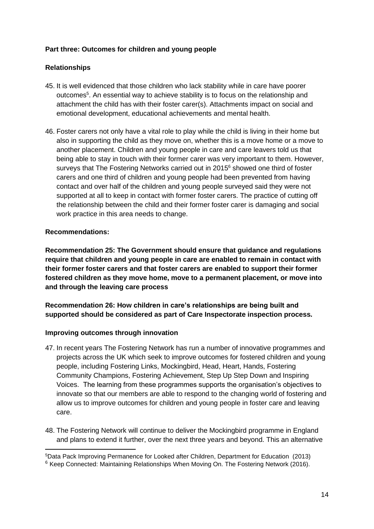## **Part three: Outcomes for children and young people**

## **Relationships**

- 45. It is well evidenced that those children who lack stability while in care have poorer outcomes<sup>5</sup>. An essential way to achieve stability is to focus on the relationship and attachment the child has with their foster carer(s). Attachments impact on social and emotional development, educational achievements and mental health.
- 46. Foster carers not only have a vital role to play while the child is living in their home but also in supporting the child as they move on, whether this is a move home or a move to another placement. Children and young people in care and care leavers told us that being able to stay in touch with their former carer was very important to them. However, surveys that The Fostering Networks carried out in 2015<sup>6</sup> showed one third of foster carers and one third of children and young people had been prevented from having contact and over half of the children and young people surveyed said they were not supported at all to keep in contact with former foster carers. The practice of cutting off the relationship between the child and their former foster carer is damaging and social work practice in this area needs to change.

## **Recommendations:**

**Recommendation 25: The Government should ensure that guidance and regulations require that children and young people in care are enabled to remain in contact with their former foster carers and that foster carers are enabled to support their former fostered children as they move home, move to a permanent placement, or move into and through the leaving care process**

**Recommendation 26: How children in care's relationships are being built and supported should be considered as part of Care Inspectorate inspection process.**

## **Improving outcomes through innovation**

- 47. In recent years The Fostering Network has run a number of innovative programmes and projects across the UK which seek to improve outcomes for fostered children and young people, including Fostering Links, Mockingbird, Head, Heart, Hands, Fostering Community Champions, Fostering Achievement, Step Up Step Down and Inspiring Voices. The learning from these programmes supports the organisation's objectives to innovate so that our members are able to respond to the changing world of fostering and allow us to improve outcomes for children and young people in foster care and leaving care.
- 48. The Fostering Network will continue to deliver the Mockingbird programme in England and plans to extend it further, over the next three years and beyond. This an alternative

<sup>5</sup>Data Pack Improving Permanence for Looked after Children, Department for Education (2013) <sup>6</sup> Keep Connected: Maintaining Relationships When Moving On. The Fostering Network (2016).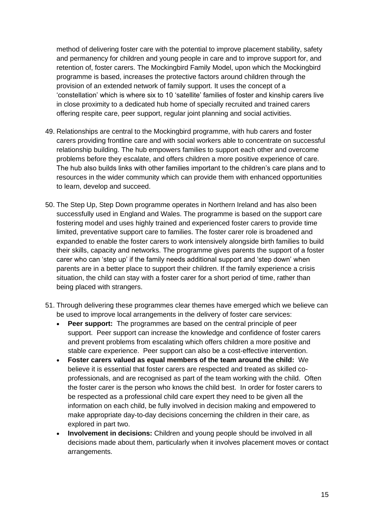method of delivering foster care with the potential to improve placement stability, safety and permanency for children and young people in care and to improve support for, and retention of, foster carers. The Mockingbird Family Model, upon which the Mockingbird programme is based, increases the protective factors around children through the provision of an extended network of family support. It uses the concept of a 'constellation' which is where six to 10 'satellite' families of foster and kinship carers live in close proximity to a dedicated hub home of specially recruited and trained carers offering respite care, peer support, regular joint planning and social activities.

- 49. Relationships are central to the Mockingbird programme, with hub carers and foster carers providing frontline care and with social workers able to concentrate on successful relationship building. The hub empowers families to support each other and overcome problems before they escalate, and offers children a more positive experience of care. The hub also builds links with other families important to the children's care plans and to resources in the wider community which can provide them with enhanced opportunities to learn, develop and succeed.
- 50. The Step Up, Step Down programme operates in Northern Ireland and has also been successfully used in England and Wales. The programme is based on the support care fostering model and uses highly trained and experienced foster carers to provide time limited, preventative support care to families. The foster carer role is broadened and expanded to enable the foster carers to work intensively alongside birth families to build their skills, capacity and networks. The programme gives parents the support of a foster carer who can 'step up' if the family needs additional support and 'step down' when parents are in a better place to support their children. If the family experience a crisis situation, the child can stay with a foster carer for a short period of time, rather than being placed with strangers.
- 51. Through delivering these programmes clear themes have emerged which we believe can be used to improve local arrangements in the delivery of foster care services:
	- **Peer support:** The programmes are based on the central principle of peer support. Peer support can increase the knowledge and confidence of foster carers and prevent problems from escalating which offers children a more positive and stable care experience. Peer support can also be a cost-effective intervention.
	- **Foster carers valued as equal members of the team around the child:** We believe it is essential that foster carers are respected and treated as skilled coprofessionals, and are recognised as part of the team working with the child. Often the foster carer is the person who knows the child best. In order for foster carers to be respected as a professional child care expert they need to be given all the information on each child, be fully involved in decision making and empowered to make appropriate day-to-day decisions concerning the children in their care, as explored in part two.
	- **Involvement in decisions:** Children and young people should be involved in all decisions made about them, particularly when it involves placement moves or contact arrangements.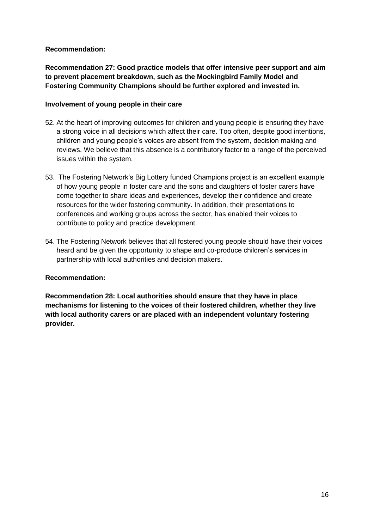## **Recommendation:**

**Recommendation 27: Good practice models that offer intensive peer support and aim to prevent placement breakdown, such as the Mockingbird Family Model and Fostering Community Champions should be further explored and invested in.**

### **Involvement of young people in their care**

- 52. At the heart of improving outcomes for children and young people is ensuring they have a strong voice in all decisions which affect their care. Too often, despite good intentions, children and young people's voices are absent from the system, decision making and reviews. We believe that this absence is a contributory factor to a range of the perceived issues within the system.
- 53. The Fostering Network's Big Lottery funded Champions project is an excellent example of how young people in foster care and the sons and daughters of foster carers have come together to share ideas and experiences, develop their confidence and create resources for the wider fostering community. In addition, their presentations to conferences and working groups across the sector, has enabled their voices to contribute to policy and practice development.
- 54. The Fostering Network believes that all fostered young people should have their voices heard and be given the opportunity to shape and co-produce children's services in partnership with local authorities and decision makers.

## **Recommendation:**

**Recommendation 28: Local authorities should ensure that they have in place mechanisms for listening to the voices of their fostered children, whether they live with local authority carers or are placed with an independent voluntary fostering provider.**